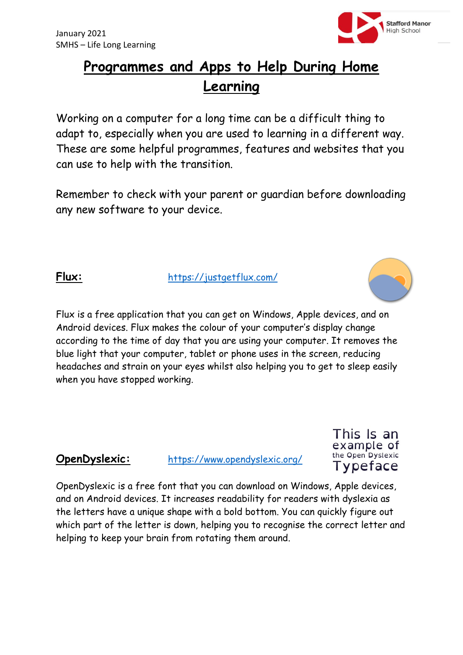

# **Programmes and Apps to Help During Home Learning**

Working on a computer for a long time can be a difficult thing to adapt to, especially when you are used to learning in a different way. These are some helpful programmes, features and websites that you can use to help with the transition.

Remember to check with your parent or guardian before downloading any new software to your device.

**Flux:** <https://justgetflux.com/>



Flux is a free application that you can get on Windows, Apple devices, and on Android devices. Flux makes the colour of your computer's display change according to the time of day that you are using your computer. It removes the blue light that your computer, tablet or phone uses in the screen, reducing headaches and strain on your eyes whilst also helping you to get to sleep easily when you have stopped working.

**OpenDyslexic:** <https://www.opendyslexic.org/>

This Is an example of the Open Dyslexic Typeface

OpenDyslexic is a free font that you can download on Windows, Apple devices, and on Android devices. It increases readability for readers with dyslexia as the letters have a unique shape with a bold bottom. You can quickly figure out which part of the letter is down, helping you to recognise the correct letter and helping to keep your brain from rotating them around.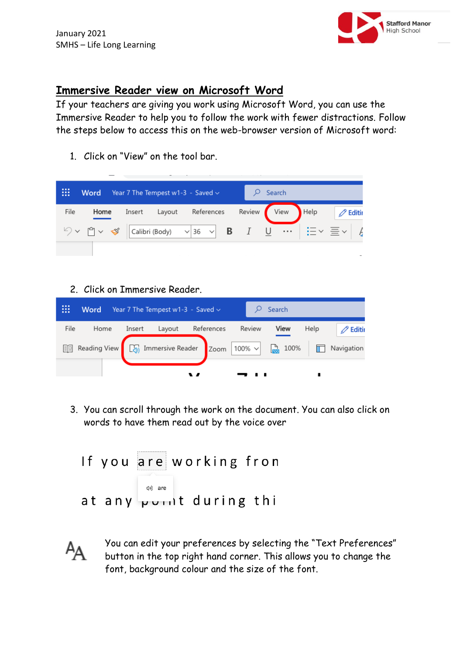

## **Immersive Reader view on Microsoft Word**

If your teachers are giving you work using Microsoft Word, you can use the Immersive Reader to help you to follow the work with fewer distractions. Follow the steps below to access this on the web-browser version of Microsoft word:

1. Click on "View" on the tool bar.

| ₩    | Word | Year 7 The Tempest w1-3 - Saved $\sim$ |        |        |  |  |  | Search |  |  |                             |                                                                                                                                                                                      |
|------|------|----------------------------------------|--------|--------|--|--|--|--------|--|--|-----------------------------|--------------------------------------------------------------------------------------------------------------------------------------------------------------------------------------|
| File | Home |                                        | Insert | Layout |  |  |  |        |  |  | References Review View Help | $\oslash$ Editir                                                                                                                                                                     |
|      |      |                                        |        |        |  |  |  |        |  |  |                             | $\Diamond \vee \Box \vee \triangleleft \sqrt{\text{Calibri}(\text{Body}) - \vee 36} \sqrt{B} \quad I \quad \underline{\cup} \quad \cdots \mid \vdots \equiv \vee \equiv \vee \mid A$ |
|      |      |                                        |        |        |  |  |  |        |  |  |                             |                                                                                                                                                                                      |

2. Click on Immersive Reader.



3. You can scroll through the work on the document. You can also click on words to have them read out by the voice over

If you are working fron (1) are at any point during thi



You can edit your preferences by selecting the "Text Preferences" button in the top right hand corner. This allows you to change the font, background colour and the size of the font.